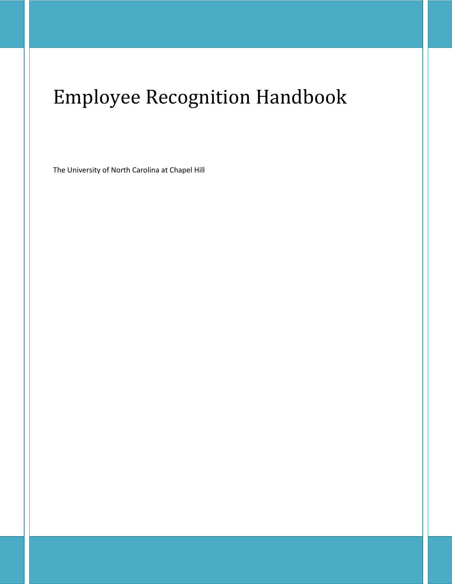# Employee Recognition Handbook

The University of North Carolina at Chapel Hill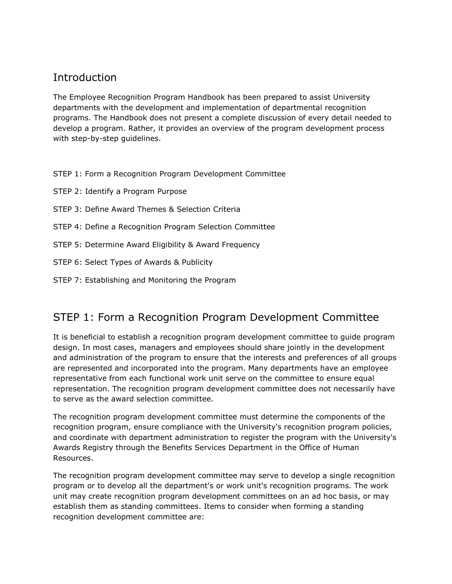#### **Introduction**

The Employee Recognition Program Handbook has been prepared to assist University departments with the development and implementation of departmental recognition programs. The Handbook does not present a complete discussion of every detail needed to develop a program. Rather, it provides an overview of the program development process with step-by-step guidelines.

STEP 1: Form a Recognition Program Development Committee

STEP 2: Identify a Program Purpose

- STEP 3: Define Award Themes & Selection Criteria
- STEP 4: Define a Recognition Program Selection Committee
- STEP 5: Determine Award Eligibility & Award Frequency
- STEP 6: Select Types of Awards & Publicity
- STEP 7: Establishing and Monitoring the Program

#### STEP 1: Form a Recognition Program Development Committee

It is beneficial to establish a recognition program development committee to guide program design. In most cases, managers and employees should share jointly in the development and administration of the program to ensure that the interests and preferences of all groups are represented and incorporated into the program. Many departments have an employee representative from each functional work unit serve on the committee to ensure equal representation. The recognition program development committee does not necessarily have to serve as the award selection committee.

The recognition program development committee must determine the components of the recognition program, ensure compliance with the University's recognition program policies, and coordinate with department administration to register the program with the University's Awards Registry through the Benefits Services Department in the Office of Human Resources.

The recognition program development committee may serve to develop a single recognition program or to develop all the department's or work unit's recognition programs. The work unit may create recognition program development committees on an ad hoc basis, or may establish them as standing committees. Items to consider when forming a standing recognition development committee are: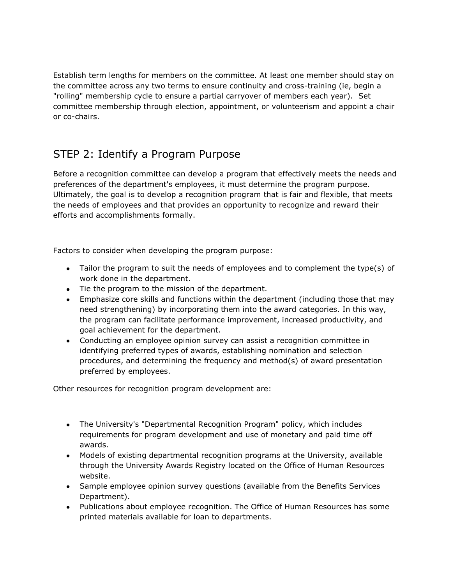Establish term lengths for members on the committee. At least one member should stay on the committee across any two terms to ensure continuity and cross-training (ie, begin a "rolling" membership cycle to ensure a partial carryover of members each year). Set committee membership through election, appointment, or volunteerism and appoint a chair or co-chairs.

## STEP 2: Identify a Program Purpose

Before a recognition committee can develop a program that effectively meets the needs and preferences of the department's employees, it must determine the program purpose. Ultimately, the goal is to develop a recognition program that is fair and flexible, that meets the needs of employees and that provides an opportunity to recognize and reward their efforts and accomplishments formally.

Factors to consider when developing the program purpose:

- Tailor the program to suit the needs of employees and to complement the type(s) of work done in the department.
- Tie the program to the mission of the department.
- Emphasize core skills and functions within the department (including those that may need strengthening) by incorporating them into the award categories. In this way, the program can facilitate performance improvement, increased productivity, and goal achievement for the department.
- Conducting an employee opinion survey can assist a recognition committee in identifying preferred types of awards, establishing nomination and selection procedures, and determining the frequency and method(s) of award presentation preferred by employees.

Other resources for recognition program development are:

- The University's "Departmental Recognition Program" policy, which includes requirements for program development and use of monetary and paid time off awards.
- Models of existing departmental recognition programs at the University, available through the University Awards Registry located on the Office of Human Resources website.
- Sample employee opinion survey questions (available from the Benefits Services Department).
- Publications about employee recognition. The Office of Human Resources has some printed materials available for loan to departments.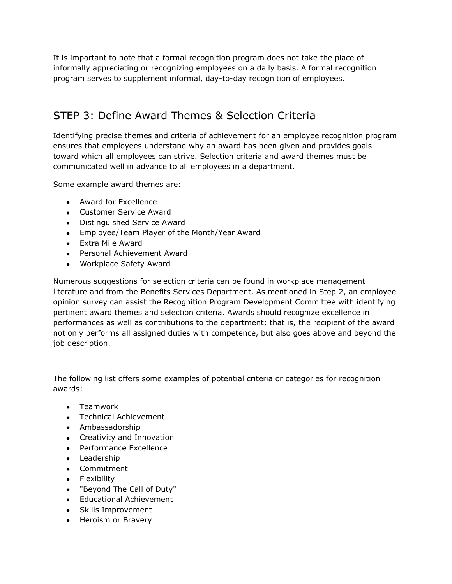It is important to note that a formal recognition program does not take the place of informally appreciating or recognizing employees on a daily basis. A formal recognition program serves to supplement informal, day-to-day recognition of employees.

## STEP 3: Define Award Themes & Selection Criteria

Identifying precise themes and criteria of achievement for an employee recognition program ensures that employees understand why an award has been given and provides goals toward which all employees can strive. Selection criteria and award themes must be communicated well in advance to all employees in a department.

Some example award themes are:

- Award for Excellence
- Customer Service Award
- Distinguished Service Award
- Employee/Team Player of the Month/Year Award
- Extra Mile Award
- Personal Achievement Award
- Workplace Safety Award

Numerous suggestions for selection criteria can be found in workplace management literature and from the Benefits Services Department. As mentioned in Step 2, an employee opinion survey can assist the Recognition Program Development Committee with identifying pertinent award themes and selection criteria. Awards should recognize excellence in performances as well as contributions to the department; that is, the recipient of the award not only performs all assigned duties with competence, but also goes above and beyond the job description.

The following list offers some examples of potential criteria or categories for recognition awards:

- Teamwork
- Technical Achievement
- Ambassadorship
- Creativity and Innovation
- Performance Excellence
- Leadership
- Commitment
- Flexibility
- "Beyond The Call of Duty"
- Educational Achievement
- Skills Improvement
- Heroism or Bravery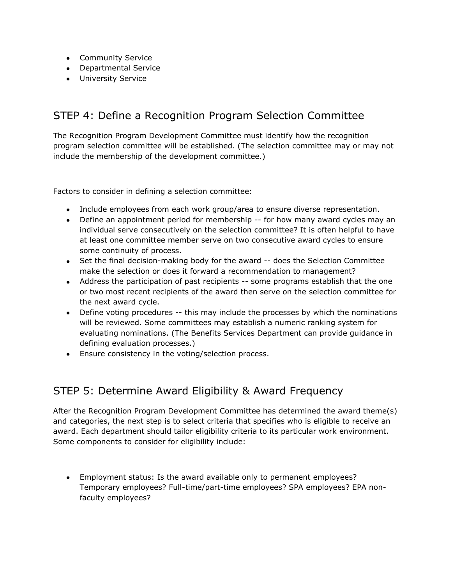- **•** Community Service
- Departmental Service
- University Service

#### STEP 4: Define a Recognition Program Selection Committee

The Recognition Program Development Committee must identify how the recognition program selection committee will be established. (The selection committee may or may not include the membership of the development committee.)

Factors to consider in defining a selection committee:

- Include employees from each work group/area to ensure diverse representation.
- Define an appointment period for membership -- for how many award cycles may an individual serve consecutively on the selection committee? It is often helpful to have at least one committee member serve on two consecutive award cycles to ensure some continuity of process.
- Set the final decision-making body for the award -- does the Selection Committee make the selection or does it forward a recommendation to management?
- Address the participation of past recipients -- some programs establish that the one or two most recent recipients of the award then serve on the selection committee for the next award cycle.
- Define voting procedures -- this may include the processes by which the nominations will be reviewed. Some committees may establish a numeric ranking system for evaluating nominations. (The Benefits Services Department can provide guidance in defining evaluation processes.)
- Ensure consistency in the voting/selection process.

#### STEP 5: Determine Award Eligibility & Award Frequency

After the Recognition Program Development Committee has determined the award theme(s) and categories, the next step is to select criteria that specifies who is eligible to receive an award. Each department should tailor eligibility criteria to its particular work environment. Some components to consider for eligibility include:

Employment status: Is the award available only to permanent employees? Temporary employees? Full-time/part-time employees? SPA employees? EPA nonfaculty employees?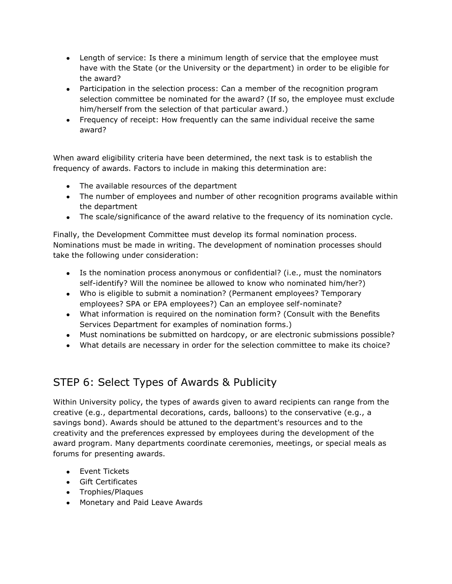- Length of service: Is there a minimum length of service that the employee must have with the State (or the University or the department) in order to be eligible for the award?
- Participation in the selection process: Can a member of the recognition program selection committee be nominated for the award? (If so, the employee must exclude him/herself from the selection of that particular award.)
- Frequency of receipt: How frequently can the same individual receive the same award?

When award eligibility criteria have been determined, the next task is to establish the frequency of awards. Factors to include in making this determination are:

- The available resources of the department
- The number of employees and number of other recognition programs available within the department
- The scale/significance of the award relative to the frequency of its nomination cycle.

Finally, the Development Committee must develop its formal nomination process. Nominations must be made in writing. The development of nomination processes should take the following under consideration:

- Is the nomination process anonymous or confidential? (i.e., must the nominators self-identify? Will the nominee be allowed to know who nominated him/her?)
- Who is eligible to submit a nomination? (Permanent employees? Temporary employees? SPA or EPA employees?) Can an employee self-nominate?
- What information is required on the nomination form? (Consult with the Benefits Services Department for examples of nomination forms.)
- Must nominations be submitted on hardcopy, or are electronic submissions possible?
- What details are necessary in order for the selection committee to make its choice?

## STEP 6: Select Types of Awards & Publicity

Within University policy, the types of awards given to award recipients can range from the creative (e.g., departmental decorations, cards, balloons) to the conservative (e.g., a savings bond). Awards should be attuned to the department's resources and to the creativity and the preferences expressed by employees during the development of the award program. Many departments coordinate ceremonies, meetings, or special meals as forums for presenting awards.

- **•** Event Tickets
- Gift Certificates
- Trophies/Plaques
- Monetary and Paid Leave Awards